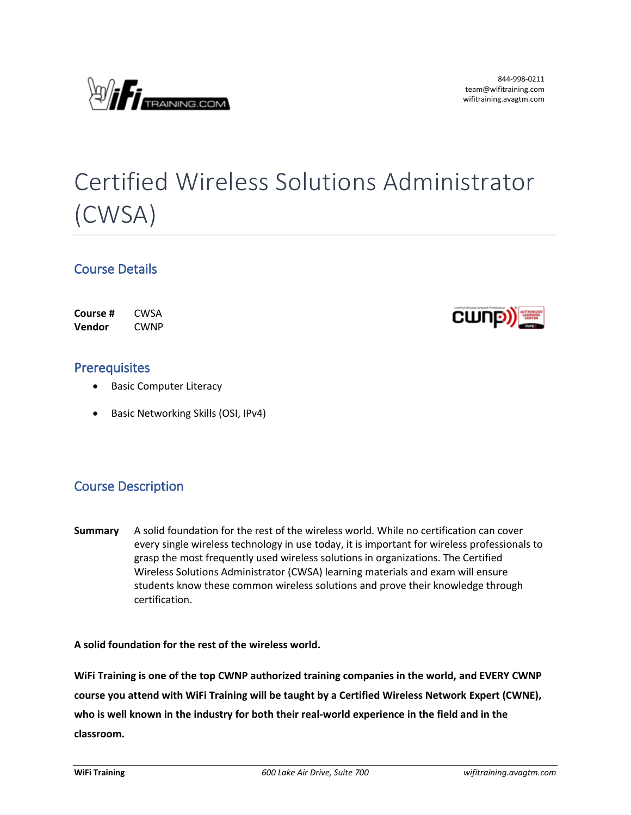

# Certified Wireless Solutions Administrator (CWSA)

### **Course Details**

| Course # | CWSA        |
|----------|-------------|
| Vendor   | <b>CWNP</b> |



### **Prerequisites**

- **•** Basic Computer Literacy
- **•** Basic Networking Skills (OSI, IPv4)

## **Course Description**

**Summary** A solid foundation for the rest of the wireless world. While no certification can cover every single wireless technology in use today, it is important for wireless professionals to grasp the most frequently used wireless solutions in organizations. The Certified Wireless Solutions Administrator (CWSA) learning materials and exam will ensure students know these common wireless solutions and prove their knowledge through certification.

**A solid foundation for the rest of the wireless world.**

**WiFi Training is one of the top CWNP authorized training companies in the world, and EVERY CWNP course you attend with WiFi Training will be taught by a Certified Wireless Network Expert (CWNE), who is well known in the industry for both their real-world experience in the field and in the classroom.**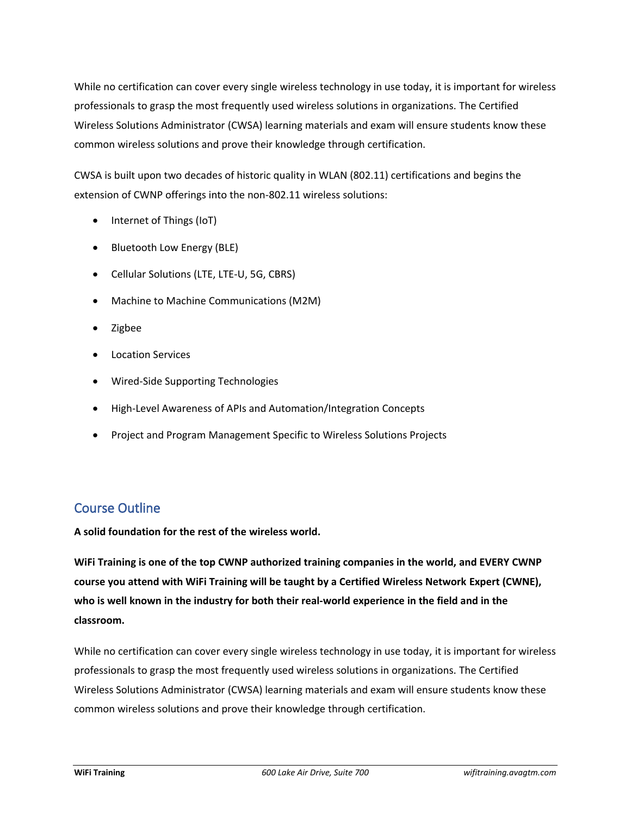While no certification can cover every single wireless technology in use today, it is important for wireless professionals to grasp the most frequently used wireless solutions in organizations. The Certified Wireless Solutions Administrator (CWSA) learning materials and exam will ensure students know these common wireless solutions and prove their knowledge through certification.

CWSA is built upon two decades of historic quality in WLAN (802.11) certifications and begins the extension of CWNP offerings into the non-802.11 wireless solutions:

- Internet of Things (IoT)
- Bluetooth Low Energy (BLE)
- Cellular Solutions (LTE, LTE-U, 5G, CBRS)
- Machine to Machine Communications (M2M)
- Zigbee
- **•** Location Services
- Wired-Side Supporting Technologies
- High-Level Awareness of APIs and Automation/Integration Concepts
- Project and Program Management Specific to Wireless Solutions Projects

## **Course Outline**

**A solid foundation for the rest of the wireless world.**

**WiFi Training is one of the top CWNP authorized training companies in the world, and EVERY CWNP course you attend with WiFi Training will be taught by a Certified Wireless Network Expert (CWNE), who is well known in the industry for both their real-world experience in the field and in the classroom.**

While no certification can cover every single wireless technology in use today, it is important for wireless professionals to grasp the most frequently used wireless solutions in organizations. The Certified Wireless Solutions Administrator (CWSA) learning materials and exam will ensure students know these common wireless solutions and prove their knowledge through certification.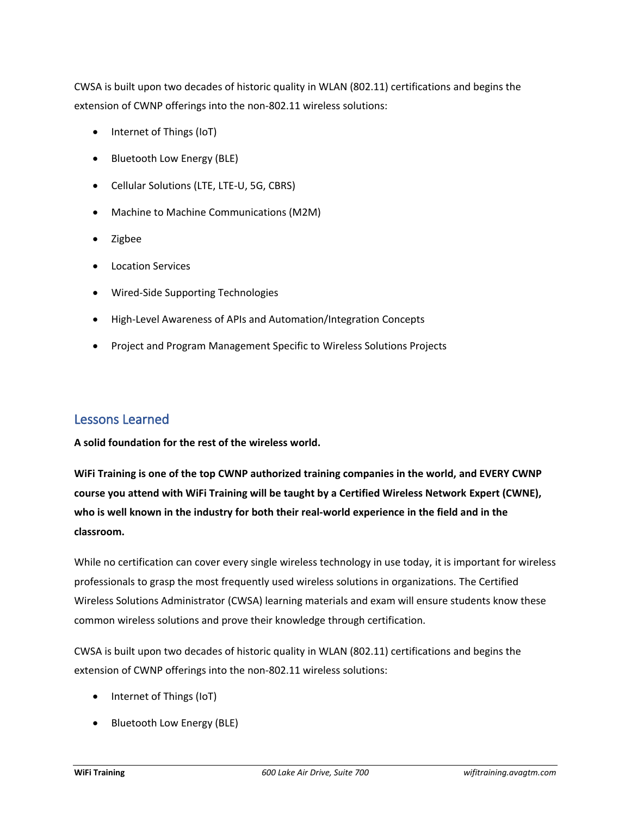CWSA is built upon two decades of historic quality in WLAN (802.11) certifications and begins the extension of CWNP offerings into the non-802.11 wireless solutions:

- Internet of Things (IoT)
- Bluetooth Low Energy (BLE)
- Cellular Solutions (LTE, LTE-U, 5G, CBRS)
- Machine to Machine Communications (M2M)
- Zigbee
- **•** Location Services
- Wired-Side Supporting Technologies
- High-Level Awareness of APIs and Automation/Integration Concepts
- Project and Program Management Specific to Wireless Solutions Projects

#### **Lessons Learned**

**A solid foundation for the rest of the wireless world.**

**WiFi Training is one of the top CWNP authorized training companies in the world, and EVERY CWNP course you attend with WiFi Training will be taught by a Certified Wireless Network Expert (CWNE), who is well known in the industry for both their real-world experience in the field and in the classroom.**

While no certification can cover every single wireless technology in use today, it is important for wireless professionals to grasp the most frequently used wireless solutions in organizations. The Certified Wireless Solutions Administrator (CWSA) learning materials and exam will ensure students know these common wireless solutions and prove their knowledge through certification.

CWSA is built upon two decades of historic quality in WLAN (802.11) certifications and begins the extension of CWNP offerings into the non-802.11 wireless solutions:

- Internet of Things (IoT)
- Bluetooth Low Energy (BLE)